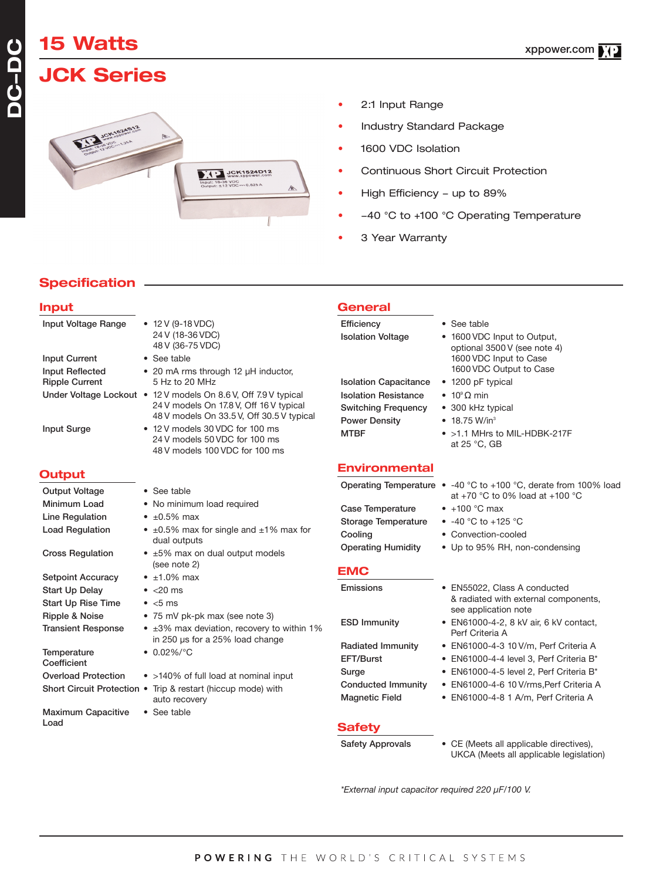# **15 Watts**

# **JCK Series**



- 2:1 Input Range
- Industry Standard Package
- 1600 VDC Isolation
- Continuous Short Circuit Protection
- High Efficiency up to 89%
- -40 °C to +100 °C Operating Temperature
- 3 Year Warranty

### **Specification**

| <b>Input</b>               |                                                                                                                                                         | <b>General</b>                                            |                                                                                                                                 |
|----------------------------|---------------------------------------------------------------------------------------------------------------------------------------------------------|-----------------------------------------------------------|---------------------------------------------------------------------------------------------------------------------------------|
| Input Voltage Range        | • 12 V (9-18 VDC)<br>24 V (18-36 VDC)<br>48 V (36-75 VDC)                                                                                               | Efficiency<br><b>Isolation Voltage</b>                    | • See table<br>• 1600 VDC Input to Output,<br>optional 3500 V (see note 4)                                                      |
| <b>Input Current</b>       | • See table                                                                                                                                             |                                                           | 1600 VDC Input to Case                                                                                                          |
| <b>Input Reflected</b>     | • 20 mA rms through 12 µH inductor,                                                                                                                     |                                                           | 1600 VDC Output to Case                                                                                                         |
| <b>Ripple Current</b>      | 5 Hz to 20 MHz                                                                                                                                          | <b>Isolation Capacitance</b>                              | • 1200 pF typical                                                                                                               |
|                            | Under Voltage Lockout • 12 V models On 8.6 V, Off 7.9 V typical<br>24 V models On 17.8 V, Off 16 V typical<br>48 V models On 33.5 V, Off 30.5 V typical | <b>Isolation Resistance</b><br><b>Switching Frequency</b> | • $10^9 \Omega$ min<br>• 300 kHz typical                                                                                        |
| <b>Input Surge</b>         | • 12 V models 30 VDC for 100 ms<br>24 V models 50 VDC for 100 ms<br>48 V models 100 VDC for 100 ms                                                      | <b>Power Density</b><br><b>MTBF</b>                       | $\bullet$ 18.75 W/in <sup>3</sup><br>• >1.1 MHrs to MIL-HDBK-217F<br>at 25 °C, GB                                               |
| <b>Output</b>              |                                                                                                                                                         | <b>Environmental</b>                                      |                                                                                                                                 |
| <b>Output Voltage</b>      | • See table                                                                                                                                             |                                                           | Operating Temperature $\bullet$ -40 °C to +100 °C, derate from 100% load<br>at +70 $^{\circ}$ C to 0% load at +100 $^{\circ}$ C |
| Minimum Load               | • No minimum load required                                                                                                                              | <b>Case Temperature</b>                                   | $\bullet$ +100 °C max                                                                                                           |
| <b>Line Regulation</b>     | $\cdot$ ±0.5% max                                                                                                                                       | <b>Storage Temperature</b>                                | • $-40$ °C to $+125$ °C                                                                                                         |
| <b>Load Regulation</b>     | $\bullet$ ±0.5% max for single and ±1% max for                                                                                                          | Cooling                                                   | • Convection-cooled                                                                                                             |
|                            | dual outputs                                                                                                                                            | <b>Operating Humidity</b>                                 | • Up to 95% RH, non-condensing                                                                                                  |
| <b>Cross Regulation</b>    | • ±5% max on dual output models<br>(see note 2)                                                                                                         | <b>EMC</b>                                                |                                                                                                                                 |
| <b>Setpoint Accuracy</b>   | $\cdot$ ±1.0% max                                                                                                                                       |                                                           |                                                                                                                                 |
| <b>Start Up Delay</b>      | $\bullet$ <20 ms                                                                                                                                        | Emissions                                                 | • EN55022, Class A conducted                                                                                                    |
| <b>Start Up Rise Time</b>  | $\bullet$ <5 ms                                                                                                                                         |                                                           | & radiated with external components,<br>see application note                                                                    |
| Ripple & Noise             | • 75 mV pk-pk max (see note 3)                                                                                                                          | <b>ESD Immunity</b>                                       | • EN61000-4-2, 8 kV air, 6 kV contact,                                                                                          |
| <b>Transient Response</b>  | • ±3% max deviation, recovery to within 1%<br>in 250 µs for a 25% load change                                                                           |                                                           | Perf Criteria A                                                                                                                 |
| Temperature                | $\bullet$ 0.02%/°C                                                                                                                                      | <b>Radiated Immunity</b>                                  | • EN61000-4-3 10 V/m, Perf Criteria A                                                                                           |
| Coefficient                |                                                                                                                                                         | EFT/Burst                                                 | • EN61000-4-4 level 3, Perf Criteria B*                                                                                         |
| <b>Overload Protection</b> | • >140% of full load at nominal input                                                                                                                   | Surge                                                     | • EN61000-4-5 level 2, Perf Criteria B*                                                                                         |
|                            | Short Circuit Protection • Trip & restart (hiccup mode) with<br>auto recovery                                                                           | <b>Conducted Immunity</b><br><b>Magnetic Field</b>        | • EN61000-4-6 10 V/rms, Perf Criteria A<br>• EN61000-4-8 1 A/m, Perf Criteria A                                                 |
| <b>Maximum Capacitive</b>  | • See table                                                                                                                                             |                                                           |                                                                                                                                 |
| Load                       |                                                                                                                                                         | <b>Safety</b>                                             |                                                                                                                                 |
|                            |                                                                                                                                                         | <b>Safety Approvals</b>                                   | • CE (Meets all applicable directives),<br>UKCA (Meets all applicable legislation)                                              |

*\*External input capacitor required 220 µF/100 V.*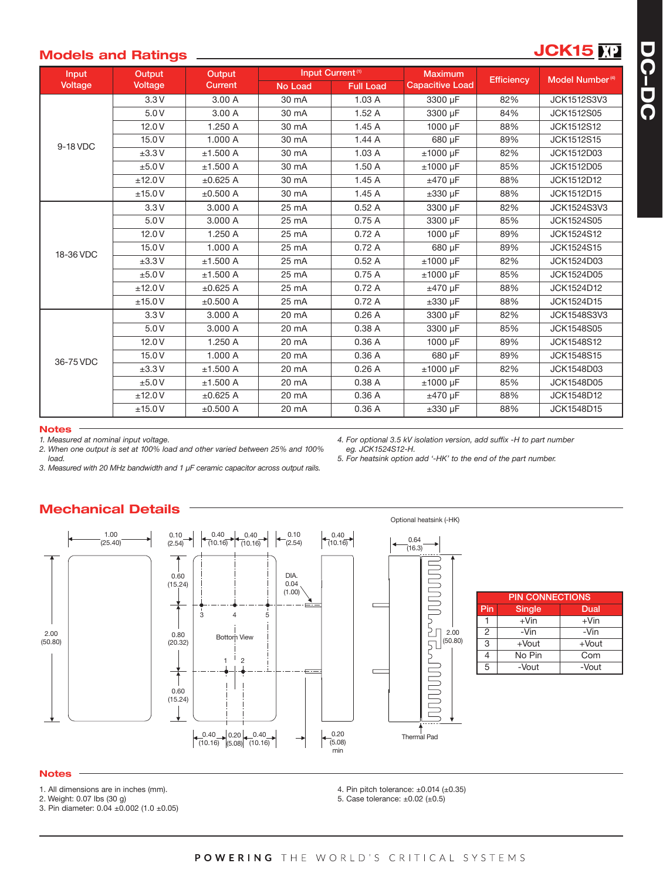## **Models and Ratings JCK15**

| Input<br>Voltage | Output<br><b>Voltage</b> | Output<br><b>Current</b> | Input Current <sup>(1)</sup> |                  | <b>Maximum</b>         |                   |                             |
|------------------|--------------------------|--------------------------|------------------------------|------------------|------------------------|-------------------|-----------------------------|
|                  |                          |                          | No Load                      | <b>Full Load</b> | <b>Capacitive Load</b> | <b>Efficiency</b> | Model Number <sup>(4)</sup> |
| 9-18 VDC         | 3.3V                     | 3.00 A                   | 30 mA                        | 1.03A            | 3300 µF                | 82%               | <b>JCK1512S3V3</b>          |
|                  | 5.0V                     | 3.00 A                   | 30 mA                        | 1.52A            | 3300 µF                | 84%               | <b>JCK1512S05</b>           |
|                  | 12.0 V                   | 1.250 A                  | 30 mA                        | 1.45A            | 1000 µF                | 88%               | <b>JCK1512S12</b>           |
|                  | 15.0 V                   | 1.000 A                  | 30 mA                        | 1.44A            | 680 µF                 | 89%               | JCK1512S15                  |
|                  | ±3.3V                    | ±1.500 A                 | 30 mA                        | 1.03A            | $±1000$ µF             | 82%               | JCK1512D03                  |
|                  | ±5.0V                    | ±1.500 A                 | 30 mA                        | 1.50A            | $±1000$ µF             | 85%               | JCK1512D05                  |
|                  | ±12.0V                   | ±0.625A                  | 30 mA                        | 1.45A            | $±470 \mu F$           | 88%               | JCK1512D12                  |
|                  | ±15.0V                   | ±0.500 A                 | 30 mA                        | 1.45A            | $\pm 330$ µF           | 88%               | JCK1512D15                  |
| 18-36 VDC        | 3.3V                     | 3,000 A                  | 25 mA                        | 0.52A            | 3300 uF                | 82%               | JCK1524S3V3                 |
|                  | 5.0V                     | 3.000 A                  | 25 mA                        | 0.75A            | 3300 µF                | 85%               | <b>JCK1524S05</b>           |
|                  | 12.0V                    | 1.250 A                  | 25 mA                        | 0.72A            | 1000 µF                | 89%               | <b>JCK1524S12</b>           |
|                  | 15.0 V                   | 1.000 A                  | 25 mA                        | 0.72A            | 680 µF                 | 89%               | <b>JCK1524S15</b>           |
|                  | ±3.3V                    | ±1.500 A                 | 25 mA                        | 0.52A            | $±1000 \mu F$          | 82%               | JCK1524D03                  |
|                  | ±5.0V                    | ±1.500 A                 | 25 mA                        | 0.75A            | $±1000$ µF             | 85%               | <b>JCK1524D05</b>           |
|                  | ±12.0V                   | ±0.625 A                 | 25 mA                        | 0.72A            | $±470$ µF              | 88%               | JCK1524D12                  |
|                  | ±15.0V                   | ±0.500 A                 | 25 mA                        | 0.72A            | $\pm 330$ µF           | 88%               | JCK1524D15                  |
| 36-75 VDC        | 3.3V                     | 3.000 A                  | 20 mA                        | 0.26A            | 3300 µF                | 82%               | <b>JCK1548S3V3</b>          |
|                  | 5.0V                     | 3.000 A                  | 20 mA                        | 0.38A            | 3300 µF                | 85%               | <b>JCK1548S05</b>           |
|                  | 12.0V                    | 1.250 A                  | 20 mA                        | 0.36A            | 1000 µF                | 89%               | <b>JCK1548S12</b>           |
|                  | 15.0V                    | 1.000 A                  | 20 mA                        | 0.36A            | 680 uF                 | 89%               | <b>JCK1548S15</b>           |
|                  | ±3.3V                    | ±1.500 A                 | 20 mA                        | 0.26A            | $±1000~\mu F$          | 82%               | <b>JCK1548D03</b>           |
|                  | ±5.0V                    | ±1.500 A                 | 20 mA                        | 0.38 A           | $±1000$ µF             | 85%               | <b>JCK1548D05</b>           |
|                  | ±12.0V                   | ±0.625 A                 | 20 mA                        | 0.36A            | $±470 \mu F$           | 88%               | <b>JCK1548D12</b>           |
|                  | ±15.0V                   | ±0.500 A                 | 20 mA                        | 0.36A            | $\pm 330$ µF           | 88%               | <b>JCK1548D15</b>           |

#### **Notes**

*load.*

*1. Measured at nominal input voltage.*

*2. When one output is set at 100% load and other varied between 25% and 100%*

*4. For optional 3.5 kV isolation version, add suffix -H to part number eg. JCK1524S12-H.*

*5. For heatsink option add '-HK' to the end of the part number.*

*3. Measured with 20 MHz bandwidth and 1 μF ceramic capacitor across output rails.*

#### Optional heatsink (-HK) 1.00 0.40 0.10 0.40 0.10  $(10.16)$   $(10.16)$  $\left(10.16\right)$ 0.64 (25.40) (2.54)  $(2.54)$  $(16.3)$  $\Box$  $\overline{\phantom{a}}$  $\Box$ DIA. 0.60 (15.24) 0.04 **SPO** (1.00) PIN CONNECTIONS  $\Xi$ Pin Single Dual  $\frac{1}{3}$  4  $\sum_{2.00}$ 5  $1 + \text{V}$ in  $+ \text{V}$ in 2 - Vin - Vin<br>3 + Vout + Vou 2.00 0.80 Bottom View 卫  $(50.80)$ (50.80) (20.32) 3 +Vout +Vout<br>4 No Pin Com No Pin  $1^{1}$  2 5 -Vout -Vout  $\Box$ Г  $\overline{1}$  $\overline{\phantom{a}}$ 0.60 П (15.24)  $\Gamma$ Thermal Pad 0.20  $\begin{array}{|c|c|c|c|c|c|}\n \hline\n 0.40 & 0.20 & 0.40 \\
\hline\n 0.16 & 0.08 & 0.16\n \end{array}$  $(5.08)$ min **Notes**

**Mechanical Details**

- 1. All dimensions are in inches (mm).
- 2. Weight: 0.07 lbs (30 g)

3. Pin diameter: 0.04 ±0.002 (1.0 ±0.05)

4. Pin pitch tolerance: ±0.014 (±0.35)

5. Case tolerance: ±0.02 (±0.5)